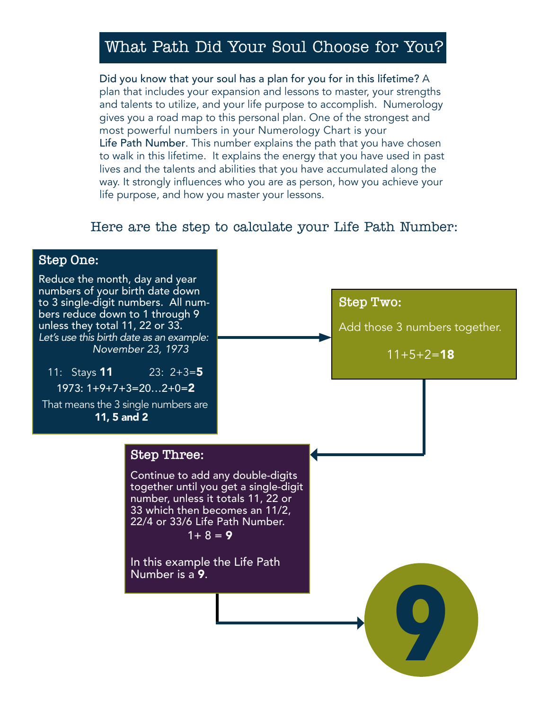# What Path Did Your Soul Choose for You?

Did you know that your soul has a plan for you for in this lifetime? A plan that includes your expansion and lessons to master, your strengths and talents to utilize, and your life purpose to accomplish. Numerology gives you a road map to this personal plan. One of the strongest and most powerful numbers in your Numerology Chart is your Life Path Number. This number explains the path that you have chosen to walk in this lifetime. It explains the energy that you have used in past lives and the talents and abilities that you have accumulated along the way. It strongly influences who you are as person, how you achieve your life purpose, and how you master your lessons.

## Here are the step to calculate your Life Path Number:

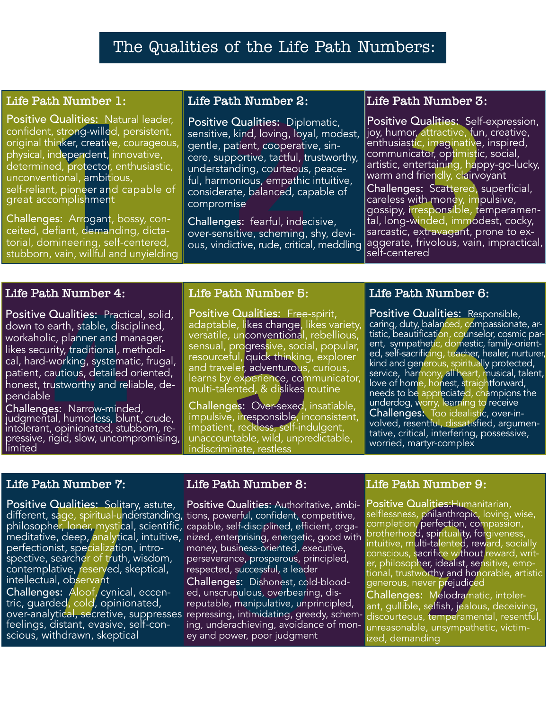# The Qualities of the Life Path Numbers:

### **Life Path Number 1:**

Positive Qualities: Natural leader, confident, strong-willed, persistent, original thinker, creative, courageous, physical, independent, innovative, determined, protector, enthusiastic, unconventional, ambitious, self-reliant, pioneer and capable of great accomplishment

Challenges: Arrogant, bossy, conceited, defiant, demanding, dictatorial, domineering, self-centered, stubborn, vain, willful and unyielding

#### **Life Path Number 2:**

**2 Dualities:** Natural leader, sensitive, kind, loving, loyal, modest, sensitive Cualities: Self-<br>
sensitive, kind, loving, loyal, modest, loy, humor, attractive, fun<br>
inker, creative, courageous, gentle, patient, cooper Positive Qualities: Diplomatic, sensitive, kind, loving, loyal, modest, gentle, patient, cooperative, sincere, supportive, tactful, trustworthy, understanding, courteous, peaceful, harmonious, empathic intuitive, considerate, balanced, capable of compromise

Challenges: fearful, indecisive, over-sensitive, scheming, shy, devious, vindictive, rude, critical, meddling

#### **Life Path Number 3:**

Positive Qualities: Self-expression, joy, humor, attractive, fun, creative, enthusiastic, imaginative, inspired, communicator, optimistic, social, artistic, entertaining, happy-go-lucky, warm and friendly, clairvoyant

Challenges: Scattered, superficial, careless with money, impulsive, gossipy, irresponsible, temperamental, long-winded, immodest, cocky, sarcastic, extravagant, prone to exaggerate, frivolous, vain, impractical, self-centered

## **Life Path Number 4:**

Positive Qualities: Practical, solid, down to earth, stable, disciplined, workaholic, planner and manager, likes security, traditional, methodical, hard-working, systematic, frugal, patient, cautious, detailed oriented, honest, trustworthy and reliable, dependable

Challenges: Narrow-minded, judgmental, humorless, blunt, crude,<br>intolerant, opinionated, stubborn, reintolerant, opinionated, stubborn, re-  $\mid$ <br>pressive, rigid, slow, uncompromising, limited

#### **Life Path Number 5:**

Positive Qualities: Free-spirit, adaptable, likes change, likes variety, versatile, unconventional, rebellious, sensual, progressive, social, popular, resourceful, quick thinking, explorer and traveler, adventurous, curious, learns by experience, communicator, multi-talented, & dislikes routine

Challenges: Over-sexed, insatiable, impulsive, irresponsible, inconsistent, impatient, reckless, self-indulgent, unaccountable, wild, unpredictable, indiscriminate, restless

## **Life Path Number 6:**

**Qualities:** Practical, solid, Positive Qualities: Free-spirit, Positive Qualities: Resparth, stable, disciplined, adaptable, likes change, likes variety, caring, duty, balanced, compare, c, planner and manager, versatile, Positive Qualities: Responsible, caring, duty, balanced, compassionate, artistic, beautification, counselor, cosmic parent, sympathetic, domestic, family-oriented, self-sacrificing, teacher, healer, nurturer, kind and generous, spiritually protected, service, harmony, all heart, musical, talent, love of home, honest, straightforward, needs to be appreciated, champions the underdog, worry, learning to receive **Challenges:** Too idealistic, over-in-<br>volved, resentful, dissatisfied, argumen-<br>tative, critical, interfering, possessive, worried, martyr-complex

## **Life Path Number 7:**

Positive Qualities: Solitary, astute, Positive Qualities: Authoritative, ambi-<br>different, sage, spiritual-understanding, tions, powerful, confident, competitive, philosopher, loner, mystical, scientific, capable, self-disciplined, efficient, orgameditative, deep, analytical, intuitive, nized, enterprising, energetic, good with perfectionist, specialization, introspective, searcher of truth, wisdom, contemplative, reserved, skeptical, intellectual, observant

Challenges: Aloof, cynical, eccen-<br>tric, guarded, cold, opinionated, feelings, distant, evasive, self-con- scious, withdrawn, skeptical

### **Life Path Number 8:**

**Qualities:** Solitary, astute, Positive Qualities: Authoritative, ambi-<br>
sage, spiritual-understanding, tions, powerful, confident, competitive, selflessness, philanthropic, lo<br>
ler, loner, mystical, scientific, capable, s Positive Qualities: Authoritative, ambi- Positive Qualities: Humanitarian, money, business-oriented, executive, perseverance, prosperous, principled, respected, successful, a leader

over-analytical, secretive, suppresses repressing, intimidating, greedy, schem-Challenges: Dishonest, cold-blooded, unscrupulous, overbearing, disreputable, manipulative, unprincipled, ing, underachieving, avoidance of money and power, poor judgment

#### **Life Path Number 9:**

selflessness, philanthropic, loving, wise, completion, perfection, compassion, brotherhood, spirituality, forgiveness, intuitive, multi-talented, reward, socially er, philosopher, idealist, sensitive, emo-<br>tional, trustworthy and honorable, artistic generous, never prejudiced

Challenges: Melodramatic, intolerant, gullible, selfish, jealous, deceiving, discourteous, temperamental, resentful, unreasonable, unsympathetic, victimized, demanding